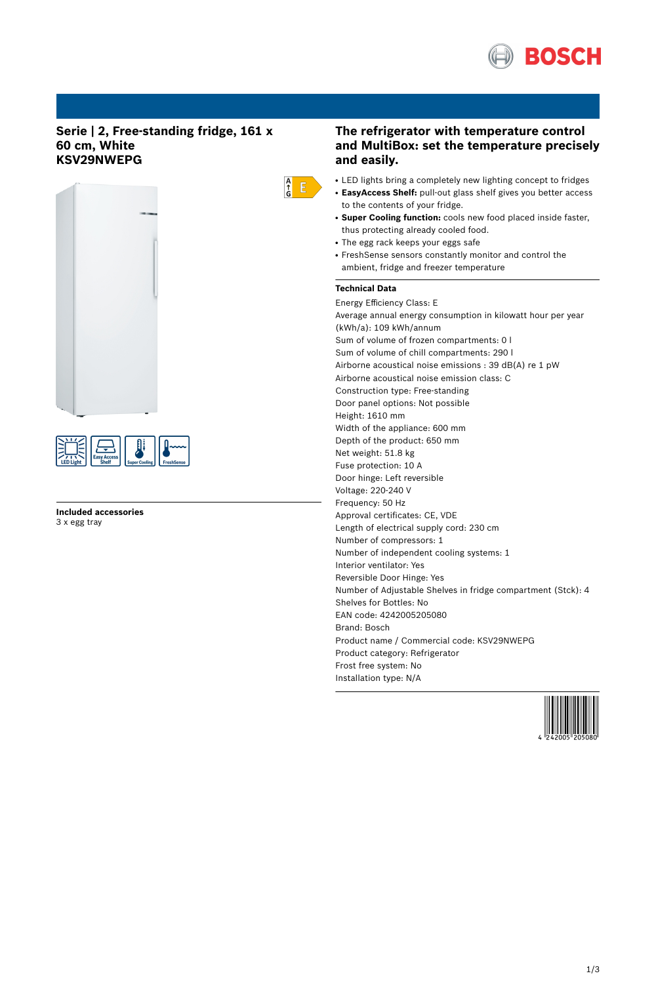

# **Serie | 2, Free-standing fridge, 161 x 60 cm, White KSV29NWEPG**





**Included accessories** 3 x egg tray

# **The refrigerator with temperature control and MultiBox: set the temperature precisely and easily.**

- LED lights bring a completely new lighting concept to fridges
- **EasyAccess Shelf:** pull-out glass shelf gives you better access to the contents of your fridge.
- **Super Cooling function:** cools new food placed inside faster, thus protecting already cooled food.
- The egg rack keeps your eggs safe
- FreshSense sensors constantly monitor and control the ambient, fridge and freezer temperature

# **Technical Data**

 $\frac{A}{G}$   $E$ 

Energy Efficiency Class: E Average annual energy consumption in kilowatt hour per year (kWh/a): 109 kWh/annum Sum of volume of frozen compartments: 0 l Sum of volume of chill compartments: 290 l Airborne acoustical noise emissions : 39 dB(A) re 1 pW Airborne acoustical noise emission class: C Construction type: Free-standing Door panel options: Not possible Height: 1610 mm Width of the appliance: 600 mm Depth of the product: 650 mm Net weight: 51.8 kg Fuse protection: 10 A Door hinge: Left reversible Voltage: 220-240 V Frequency: 50 Hz Approval certificates: CE, VDE Length of electrical supply cord: 230 cm Number of compressors: 1 Number of independent cooling systems: 1 Interior ventilator: Yes Reversible Door Hinge: Yes Number of Adjustable Shelves in fridge compartment (Stck): 4 Shelves for Bottles: No EAN code: 4242005205080 Brand: Bosch Product name / Commercial code: KSV29NWEPG Product category: Refrigerator Frost free system: No Installation type: N/A

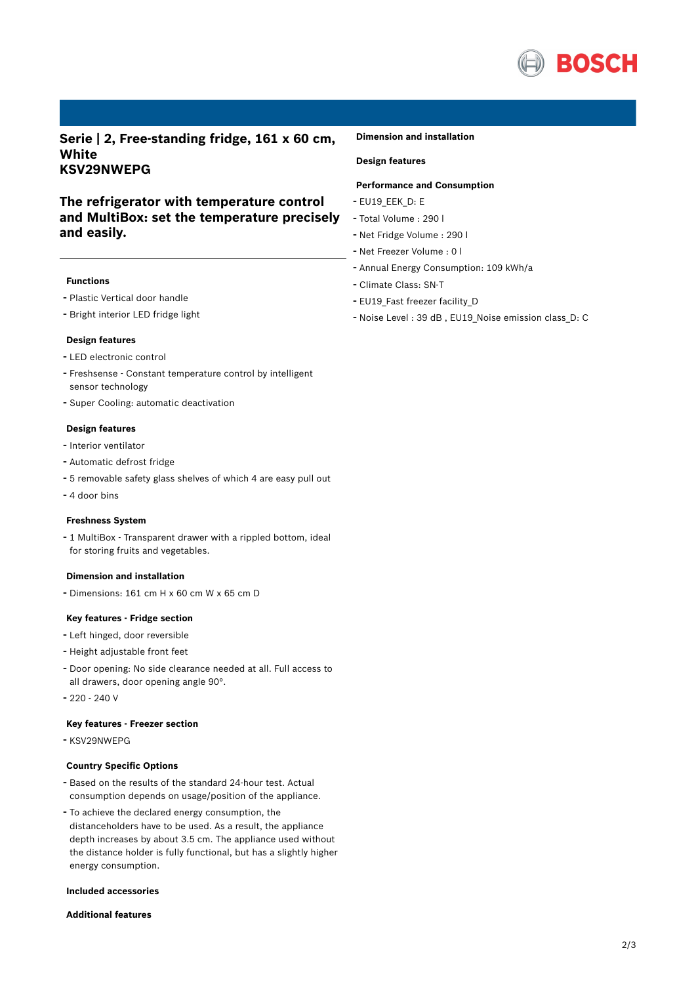

**Serie | 2, Free-standing fridge, 161 x 60 cm, White KSV29NWEPG**

# **The refrigerator with temperature control and MultiBox: set the temperature precisely and easily.**

### **Functions**

- Plastic Vertical door handle
- Bright interior LED fridge light

#### **Design features**

- LED electronic control
- Freshsense Constant temperature control by intelligent sensor technology
- Super Cooling: automatic deactivation

### **Design features**

- Interior ventilator
- Automatic defrost fridge
- <sup>5</sup> removable safety glass shelves of which <sup>4</sup> are easy pull out
- 4 door bins

#### **Freshness System**

- <sup>1</sup> MultiBox - Transparent drawer with <sup>a</sup> rippled bottom, ideal for storing fruits and vegetables.

## **Dimension and installation**

- Dimensions: 161 cm H x 60 cm W x 65 cm D

## **Key features - Fridge section**

- Left hinged, door reversible
- Height adjustable front feet
- Door opening: No side clearance needed at all. Full access to all drawers, door opening angle 90°.
- 220 240 V

### **Key features - Freezer section**

- KSV29NWEPG

### **Country Specific Options**

- Based on the results of the standard 24-hour test. Actual consumption depends on usage/position of the appliance.
- To achieve the declared energy consumption, the distanceholders have to be used. As a result, the appliance depth increases by about 3.5 cm. The appliance used without the distance holder is fully functional, but has a slightly higher energy consumption.

#### **Included accessories**

## **Additional features**

#### **Dimension and installation**

# **Design features**

## **Performance and Consumption**

- EU19\_EEK\_D: E
- Total Volume : <sup>290</sup> <sup>l</sup>
- Net Fridge Volume : <sup>290</sup> <sup>l</sup>
- Net Freezer Volume : <sup>0</sup> <sup>l</sup>
- Annual Energy Consumption: <sup>109</sup> kWh/a
- Climate Class: SN-T
- EU19\_Fast freezer facility\_D
- Noise Level : <sup>39</sup> dB , EU19\_Noise emission class\_D: <sup>C</sup>